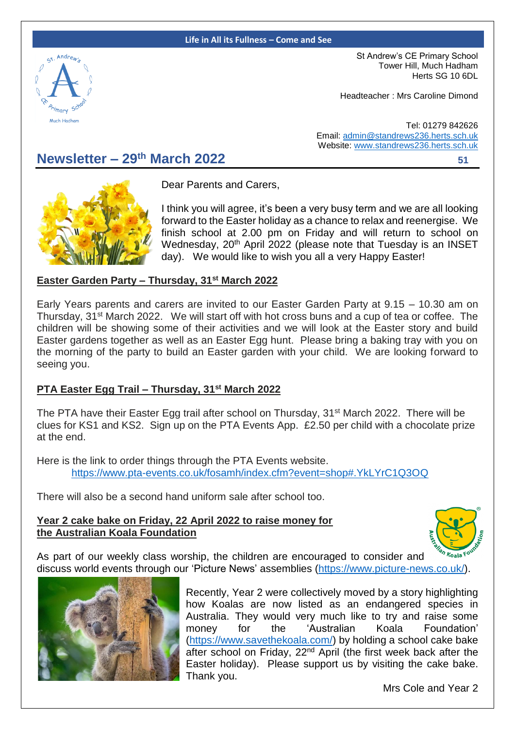#### **Life in All its Fullness – Come and See**



St Andrew's CE Primary School Tower Hill, Much Hadham Herts SG 10 6DL

Headteacher : Mrs Caroline Dimond

Tel: 01279 842626 Email: [admin@standrews236.herts.sch.uk](mailto:admin@standrews236.herts.sch.uk) Website: [www.standrews236.herts.sch.uk](http://www.standrews236.herts.sch.uk/)

# **Newsletter – 29th March 2022<sup>51</sup>**



Dear Parents and Carers,

I think you will agree, it's been a very busy term and we are all looking forward to the Easter holiday as a chance to relax and reenergise. We finish school at 2.00 pm on Friday and will return to school on Wednesday, 20<sup>th</sup> April 2022 (please note that Tuesday is an INSET day). We would like to wish you all a very Happy Easter!

#### **Easter Garden Party – Thursday, 31st March 2022**

Early Years parents and carers are invited to our Easter Garden Party at 9.15 – 10.30 am on Thursday, 31st March 2022. We will start off with hot cross buns and a cup of tea or coffee. The children will be showing some of their activities and we will look at the Easter story and build Easter gardens together as well as an Easter Egg hunt. Please bring a baking tray with you on the morning of the party to build an Easter garden with your child. We are looking forward to seeing you.

#### **PTA Easter Egg Trail – Thursday, 31st March 2022**

The PTA have their Easter Egg trail after school on Thursday, 31<sup>st</sup> March 2022. There will be clues for KS1 and KS2. Sign up on the PTA Events App. £2.50 per child with a chocolate prize at the end.

Here is the link to order things through the PTA Events website. <https://www.pta-events.co.uk/fosamh/index.cfm?event=shop#.YkLYrC1Q3OQ>

There will also be a second hand uniform sale after school too.

#### **Year 2 cake bake on Friday, 22 April 2022 to raise money for the Australian Koala Foundation**



As part of our weekly class worship, the children are encouraged to consider and discuss world events through our 'Picture News' assemblies [\(https://www.picture-news.co.uk/\)](https://www.picture-news.co.uk/).



Recently, Year 2 were collectively moved by a story highlighting how Koalas are now listed as an endangered species in Australia. They would very much like to try and raise some money for the 'Australian Koala Foundation' [\(https://www.savethekoala.com/\)](https://www.savethekoala.com/) by holding a school cake bake after school on Friday, 22<sup>nd</sup> April (the first week back after the Easter holiday). Please support us by visiting the cake bake. Thank you.

Mrs Cole and Year 2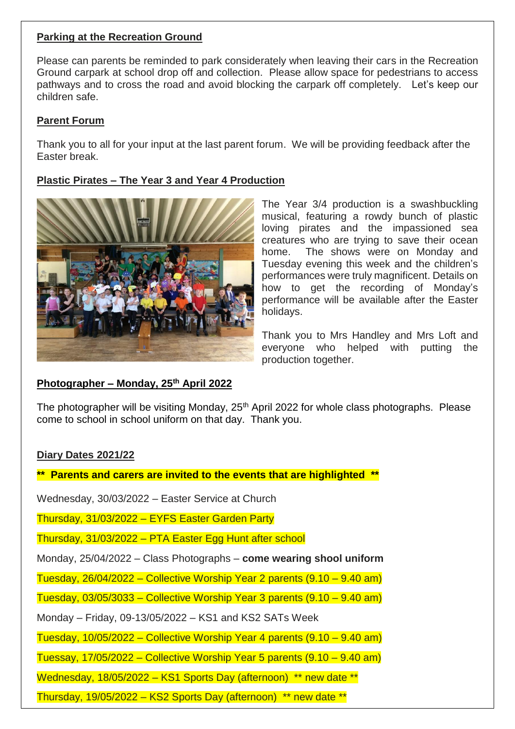### **Parking at the Recreation Ground**

Please can parents be reminded to park considerately when leaving their cars in the Recreation Ground carpark at school drop off and collection. Please allow space for pedestrians to access pathways and to cross the road and avoid blocking the carpark off completely. Let's keep our children safe.

# **Parent Forum**

Thank you to all for your input at the last parent forum. We will be providing feedback after the Easter break.

# **Plastic Pirates – The Year 3 and Year 4 Production**



**Photographer – Monday, 25th April 2022**

The Year 3/4 production is a swashbuckling musical, featuring a rowdy bunch of plastic loving pirates and the impassioned sea creatures who are trying to save their ocean home. The shows were on Monday and Tuesday evening this week and the children's performances were truly magnificent. Details on how to get the recording of Monday's performance will be available after the Easter holidays.

Thank you to Mrs Handley and Mrs Loft and everyone who helped with putting the production together.

The photographer will be visiting Monday,  $25<sup>th</sup>$  April 2022 for whole class photographs. Please come to school in school uniform on that day. Thank you.

## **Diary Dates 2021/22**

**\*\* Parents and carers are invited to the events that are highlighted \*\*** 

Wednesday, 30/03/2022 – Easter Service at Church

Thursday, 31/03/2022 – EYFS Easter Garden Party

Thursday, 31/03/2022 – PTA Easter Egg Hunt after school

Monday, 25/04/2022 – Class Photographs – **come wearing shool uniform**

Tuesday, 26/04/2022 – Collective Worship Year 2 parents (9.10 – 9.40 am)

Tuesday, 03/05/3033 – Collective Worship Year 3 parents (9.10 – 9.40 am)

Monday – Friday, 09-13/05/2022 – KS1 and KS2 SATs Week

Tuesday, 10/05/2022 – Collective Worship Year 4 parents (9.10 – 9.40 am)

Tuessay, 17/05/2022 – Collective Worship Year 5 parents (9.10 – 9.40 am)

Wednesday, 18/05/2022 – KS1 Sports Day (afternoon) \*\* new date \*\*

Thursday, 19/05/2022 – KS2 Sports Day (afternoon) \*\* new date \*\*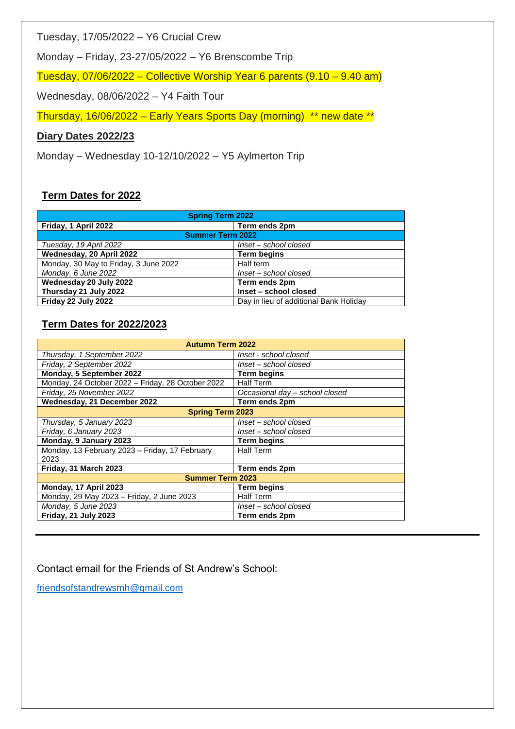Tuesday, 17/05/2022 – Y6 Crucial Crew

Monday – Friday, 23-27/05/2022 – Y6 Brenscombe Trip

Tuesday, 07/06/2022 – Collective Worship Year 6 parents (9.10 – 9.40 am)

Wednesday, 08/06/2022 – Y4 Faith Tour

Thursday, 16/06/2022 – Early Years Sports Day (morning) \*\* new date \*\*

### **Diary Dates 2022/23**

Monday – Wednesday 10-12/10/2022 – Y5 Aylmerton Trip

# **Term Dates for 2022**

| <b>Spring Term 2022</b>               |                                        |
|---------------------------------------|----------------------------------------|
| Friday, 1 April 2022                  | Term ends 2pm                          |
| <b>Summer Term 2022</b>               |                                        |
| Tuesday, 19 April 2022                | Inset - school closed                  |
| Wednesday, 20 April 2022              | <b>Term begins</b>                     |
| Monday, 30 May to Friday, 3 June 2022 | Half term                              |
| Monday, 6 June 2022                   | Inset - school closed                  |
| Wednesday 20 July 2022                | Term ends 2pm                          |
| Thursday 21 July 2022                 | Inset - school closed                  |
| Friday 22 July 2022                   | Day in lieu of additional Bank Holiday |

### **Term Dates for 2022/2023**

| <b>Autumn Term 2022</b>                           |                                |
|---------------------------------------------------|--------------------------------|
| Thursday, 1 September 2022                        | Inset - school closed          |
| Friday, 2 September 2022                          | Inset - school closed          |
| Monday, 5 September 2022                          | <b>Term begins</b>             |
| Monday, 24 October 2022 - Friday, 28 October 2022 | <b>Half Term</b>               |
| Friday, 25 November 2022                          | Occasional day - school closed |
| Wednesday, 21 December 2022                       | Term ends 2pm                  |
| <b>Spring Term 2023</b>                           |                                |
| Thursday, 5 January 2023                          | Inset - school closed          |
| Friday, 6 January 2023                            | Inset – school closed          |
| Monday, 9 January 2023                            | <b>Term begins</b>             |
| Monday, 13 February 2023 - Friday, 17 February    | <b>Half Term</b>               |
| 2023                                              |                                |
| Friday, 31 March 2023                             | Term ends 2pm                  |
| <b>Summer Term 2023</b>                           |                                |
| Monday, 17 April 2023                             | <b>Term begins</b>             |
| Monday, 29 May 2023 - Friday, 2 June 2023         | <b>Half Term</b>               |
| Monday, 5 June 2023                               | Inset – school closed          |
| <b>Friday, 21 July 2023</b>                       | Term ends 2pm                  |

Contact email for the Friends of St Andrew's School:

[friendsofstandrewsmh@gmail.com](mailto:friendsofstandrewsmh@gmail.com)